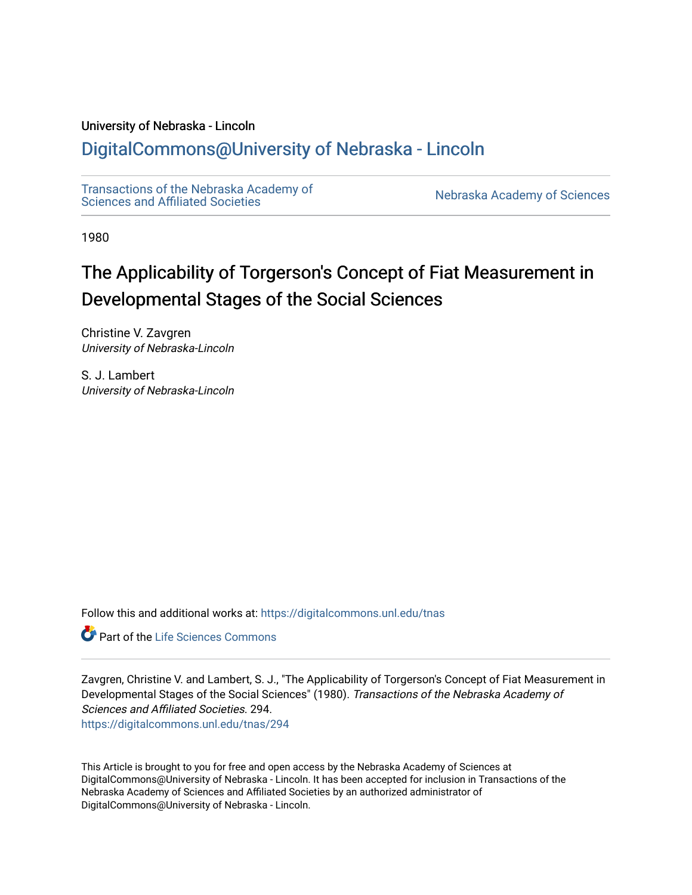# University of Nebraska - Lincoln

# [DigitalCommons@University of Nebraska - Lincoln](https://digitalcommons.unl.edu/)

[Transactions of the Nebraska Academy of](https://digitalcommons.unl.edu/tnas)  Transactions of the Nebraska Academy of Sciences<br>Sciences and Affiliated Societies

1980

# The Applicability of Torgerson's Concept of Fiat Measurement in Developmental Stages of the Social Sciences

Christine V. Zavgren University of Nebraska-Lincoln

S. J. Lambert University of Nebraska-Lincoln

Follow this and additional works at: [https://digitalcommons.unl.edu/tnas](https://digitalcommons.unl.edu/tnas?utm_source=digitalcommons.unl.edu%2Ftnas%2F294&utm_medium=PDF&utm_campaign=PDFCoverPages) 

Part of the [Life Sciences Commons](http://network.bepress.com/hgg/discipline/1016?utm_source=digitalcommons.unl.edu%2Ftnas%2F294&utm_medium=PDF&utm_campaign=PDFCoverPages) 

Zavgren, Christine V. and Lambert, S. J., "The Applicability of Torgerson's Concept of Fiat Measurement in Developmental Stages of the Social Sciences" (1980). Transactions of the Nebraska Academy of Sciences and Affiliated Societies. 294. [https://digitalcommons.unl.edu/tnas/294](https://digitalcommons.unl.edu/tnas/294?utm_source=digitalcommons.unl.edu%2Ftnas%2F294&utm_medium=PDF&utm_campaign=PDFCoverPages) 

This Article is brought to you for free and open access by the Nebraska Academy of Sciences at DigitalCommons@University of Nebraska - Lincoln. It has been accepted for inclusion in Transactions of the Nebraska Academy of Sciences and Affiliated Societies by an authorized administrator of DigitalCommons@University of Nebraska - Lincoln.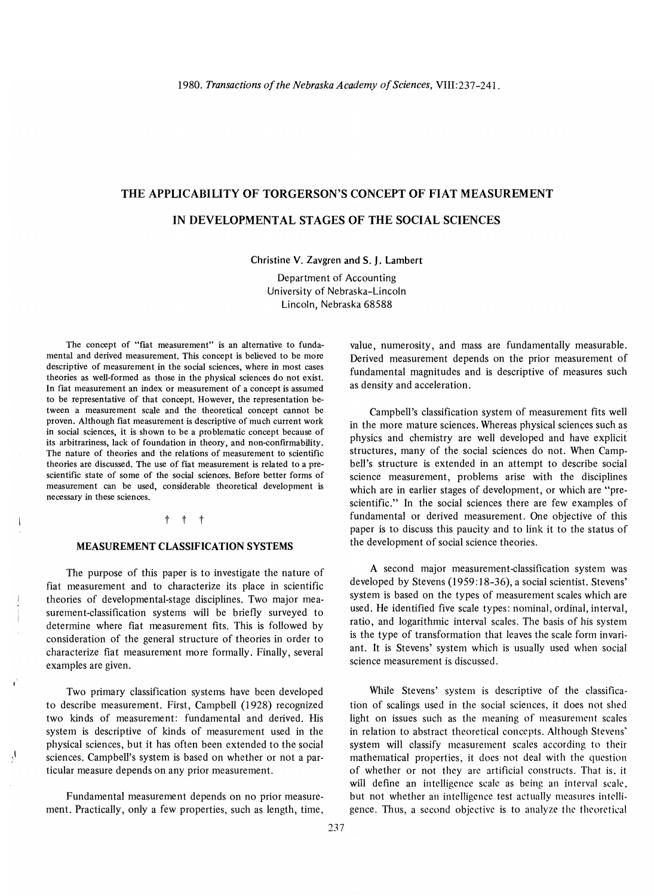# THE APPLICABILITY OF TORGERSON'S CONCEPT OF FIAT MEASUREMENT IN DEVELOPMENTAL STAGES OF THE SOCIAL SCIENCES

Christine V. Zavgren and S. J. Lambert

Department of Accounting  $U_{\text{C}}$  Department of Accounting  $\frac{1}{1}$  Nebraska 68588

The concept of "fiat measurement" is an alternative to fundaine concept of "flat measurement" is an alternative to fundamental and derived measurement. This concept is believed to be more descriptive of measurement in the social sciences, where in most cases theories as well-formed as those in the physical sciences do not exist. In fiat measurement an index or measurement of a concept is assumed to be representative of that concept. However, the representation between a measurement scale and the theoretical concept cannot be proven. Although fiat measurement is descriptive of much current work in social sciences, it is shown to be a problematic concept because of its arbitrariness, lack of foundation in theory, and non-confirmability. The nature of theories and the relations of measurement to scientific theories are discussed. The use of fiat measurement is related to a prescientific state of some of the social sciences. Before better forms of measurement can be used, considerable theoretical development is necessary in these sciences.

#### t t t

#### MEASUREMENT CLASSIFICATION SYSTEMS

The purpose of this paper is to investigate the nature of fine purpose of this paper is to investigate the nature of the increasurement and to characterize its place in scientific theories of developmental-stage disciplines. Two major measurement-classification systems will be briefly surveyed to determine the systems who be one fit is followed by the fit of the state of the state of the state of the state of the state of the state of the state of the state of the state of the state of the state of the state of the comme where that included the these theories in order to the general structure of the structure of the toconsideration of the general structure of theories in order to characterize fiat measurement more formally. Finally, several examples are given.

Two primary classification systems have been developed two primary classification systems have been developed to describe measurement. First, Campbell (1928) recognized two kinds of measurement: fundamental and derived. His system is descriptive of kinds of measurement used in the physical sciences, but it has often been extended to the social sciences. Campbell's system is based on whether or not a particular measure depends on any prior measurement.

Fundamental measurement depends on no prior measurement. Practical international depends on no prior intersuc-

value, numerosity, and mass are fundamentally measurable. ne, numerosity, and mass are rundamentally measurable. Derived measurement depends on the prior measurement of fundamental magnitudes and is descriptive of measures such as density and acceleration.

Campbell's classification system of measurement fits well Lampoen's classification system of measurement mis wen physical sciences. Whereas physical sciences such as physics and chemistry are well developed and have explicit structures, many of the social sciences do not. When Campbell's structure is extended in an attempt to describe social science measurement, problems arise with the disciplines which are in earlier stages of development, or which are "prescientific." In the social sciences there are few examples of fundamental or derived measurement. One objective of this paper is to discuss this paucity and to link it to the status of the development of social science theories.

A second major measurement-classification system was developed by Stevens (1959: 18-36), and specification system was developed by Stevens (1959:18-36), a social scientist. Stevens' system is based on the types of measurement scales which are used. He identified five scale types: nominal, ordinal, interval, ratio, and logarithmic interval scales. The basis of his system is the type of transformation that leaves the scale form invariant. It is Stevens' system which is usually used when social science measurement is discussed.

gence. Thus, a second objective is to analyze the theoretical 237 While Stevens' system is descriptive of the classificathe secret system is used prive of the classifica-<br> $\epsilon$  it does not shed shed shed shed tion of scalings used in the social sciences, it does not shed light on issues such as the meaning of measurement scales in relation to abstract theoretical concepts. Although Stevens' system will classify measurement scales according to their mathematical properties, it does not deal with the question of whether or not they are artificial constructs. That is, it will define an intelligence scale as being an interval scale, but not whether an intelligence test actually measures intelli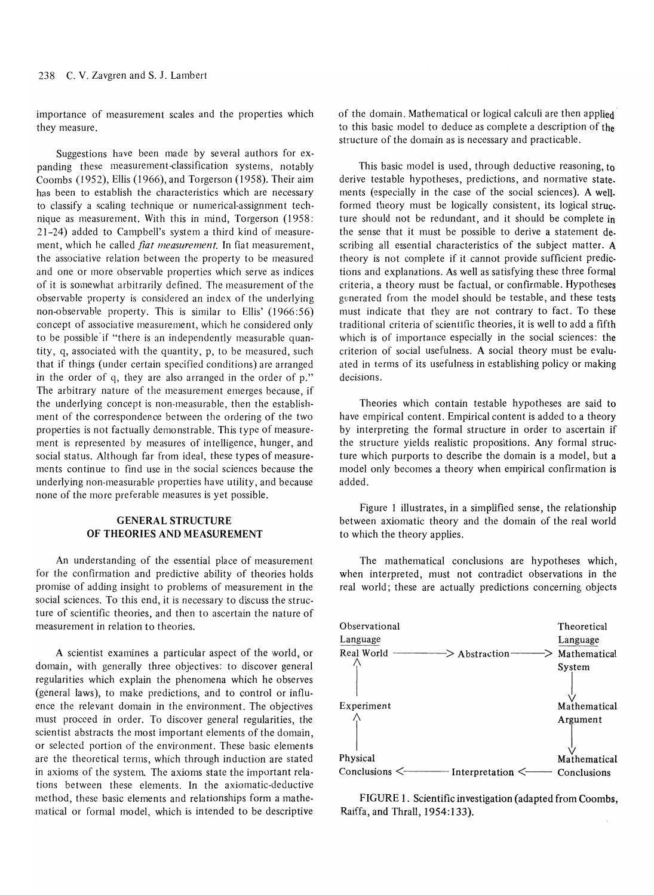importance of measurement scales and the properties which portance of 1

 $\mathbb{R}$  suggestions have been made by several authors for  $\mathbb{R}$ panding the measurement-classification systems in the systems of the systems, not contain the systems, notably  $\mu$ ung (1952), Ellis (1966), and Torgerson (1959). Their aims  $h_{\text{max}}$  (1992),  $h_{\text{max}}$  (1900), and Toigerson (1990). Then ann has been to establish the characteristics which are necessary to classify a scaling technique or numerical-assignment technique as measurement. With this in mind, Torgerson (1958: 21-24) added to Campbell's system a third kind of measurement, which he called *fiat measurement*. In fiat measurement, the associative relation between the property to be measured and one or more observable properties which serve as indices of one of more observable properties which serve as indices It is somewhat aroutamy defined. The measurement of the  $\frac{1}{1}$  is the Ellistic property. This is similar to Ellist (1966:56)  $\mu$ -observable property. This is similar to child  $(1900.90)$ concept of associative measurement, which he considered only to be possible if "there is an independently measurable quanthe possible in the c is an independently ineasurable quan $t$ ,  $\theta$ , associated with the quantity,  $p$ , to be measured, such that if things (under certain specified conditions) are arranged in the order of q, they are also arranged in the order of p." The arbitrary nature of the measurement emerges because, if the underlying concept is non-measurable, then the establishment of the correspondence between the ordering of the two properties is not factually demonstrable. This type of measureopernes is not ractually demonstrable. This type of ineasureent is represented by measures or intemgence, trunger, and social status. Although far from ideal, these types of measurements continue to find use in the social sciences because the underlying non-measurable properties have utility, and because none of the more preferable measures is yet possible.

# GENERAL STRUCTURE OF THEORIES AND MEASUREMENT

 $\mathbf{A}$  understanding of the essential place of measurement  $\mathbf{A}$ for the confirmation and prediction and prediction and prediction and prediction and prediction and the confirmation of the confirmation of the confirmation of the confirmation of the confirmation of the confirmation of th for the confirmation and predictive ability of theories holds promise of adding insight to problems of measurement in the social sciences. To this end, it is necessary to discuss the structure of scientific theories, and then to ascertain the nature of measurement in relation to theories.

A scientist examines a particular aspect of the world, or domain, and generally three objects of the world, or domain, with generally three objectives: to discover general regularities which explain the phenomena which he observes (general laws), to make predictions, and to control or influ-<br>ence the relevant domain in the environment. The objectives must proceed in order. To discover general regularities, the ust proceed in order. To discover general regularities, the  $\epsilon$  selected portion of the environment of the environment, science portion of the environment. These basic elements  $\epsilon$  in a medicinal terms, which through mudellon are stated. in axioms of the system. The axioms state the important relations between these elements. In the axiomatic-deductive  $m_{\rm s}$  between these biblions. In the axiomatic-deductive emod, mese basic elements and relationships form a matheof the domain. Mathematical or logical calculi are then applied' the domain, mathematical or logical calculi are then applied this basic model to deduce as complete a description of

This basic model is used, through deductive reasoning, to derive test and not the test and no model is used, in ought deductive reasoning, to  $m$  estable hypotheses, predictions, and hormative state. forms (especially in the case of the social selences). A wellformed theory must be logically consistent, its logical structure should not be redundant, and it should be complete in the sense that it must be possible to derive a statement describing all essential characteristics of the subject matter.  $A$ theory is not complete if it cannot provide sufficient predictions and explanations. As well as satisfying these three formal  $\sigma$  and explanations. As well as satisfying these three formal  $\mu$ generative must be tactual, or communable, risponses generated from the model should be testable, and these tests must indicate that they are not contrary to fact. To these the indicate that they are not contrary to fact. To these editional criteria of scientific theories, it is well to add a fifth  $\frac{1}{2}$  social social social social social social social social social social social social social social social social social social social social social social social social social social social social social social s  $\frac{1}{2}$  is the social usefulness. A social theory must be evaluated in terms of its usefulness in establishing policy or making decisions.

Theories which contain testable hypotheses are said to have empirical content. Example in the content is an to a theory of the content is added to a theory of the content is added to a theory of the content is added to a theory of the content is added to a theory of the conten have empirical content. Empirical content is added to a theory<br>by interpreting the formal structure in order to ascertain if the structure in the structure in order to ascertant in  $\sigma$  structure yields realistic propositions. Any formal structure ture which purports to describe the domain is a model, but a model only becomes a theory when empirical confirmation is added.

Figure 1 illustrates, in a simplified sense, the relationship between axiomatic theory and the domain of the relationship between axiomatic theory and the domain of the real world to which the theory applies.

The mathematical conclusions are hypotheses which, The inathermatical conclusions are hypotheses which, real interpreteu, must not contradict observations in the



 $F$ FIGURE 1. Scientific investigation (addition from Cooperation  $F$ Report F. Scientific investigned in the Thranel Company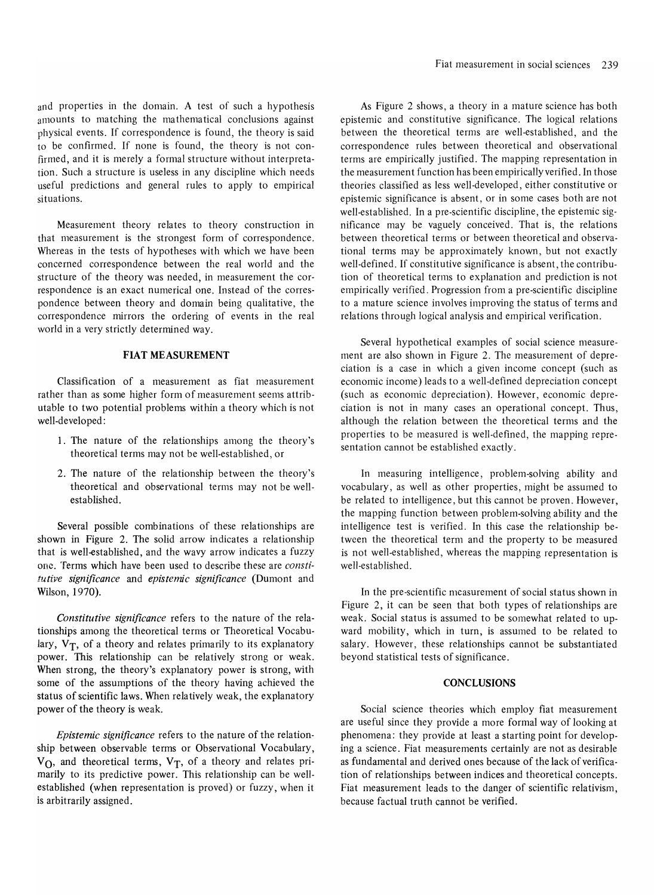and properties in the domain. A test of such a hypothesis amounts to matching the mathematical conclusions against punts to matering the mathematical conclusions against  $t_{\text{total}}$  correspondence is found, the theory is said for be confirmed. If none is found, the theory is not confirmed, and it is merely a formal structure without interpretation. Such a structure is useless in any discipline which needs useful predictions and general rules to apply the model in the control of the control of the control of the control of the control of the control of the control of the control of the control of the control of the control o situations.

Measurement theory relates to theory construction in measurement theory relates to theory construction in that measurement is the strongest form of correspondence.<br>Whereas in the tests of hypotheses with which we have been concerned correspondence between the real world world and the real world and the real world and the real world and the real world and the real world and the real world and the real world and the real world and the real wor structure correspondence between the tear world and the structure of the theory was needed, in measurement the corres-<br>respondence is an exact numerical one. Instead of the correspondence is an exact numerical one, instead of the corresmuence between theory and domain being quantative, the correspondence mirrors the ordering of events in the real world in a very strictly determined way.

### FIAT MEASUREMENT

Classification of a measurement as fiat measurement rather than a some higher form of measurement seems at the some higher seems at the measurement rather than as some higher form of measurement seems attributable to two potential problems within a theory which is not well-developed:

- 1. The nature of the relationships among the theory's to hattite of the relationships among the theorem
- 2. The nature of the relationship between the theory's to hattitude of the relationship between the theory's theoretical and observational terms may not be well-<br>established.

Several possible combinations of these relationships are several possible compilations of these relationships are shown in Figure 2. The solid arrow indicates a relationship that is well-established, and the wavy arrow indicates a fuzzy one. Terms which have been used to describe these are *consti*tutive significance and epistemic significance (Dumont and Wilson, 1970).

*Constitutive significance* refers to the nature of the relatonsmance significance telefis to the hattie of the telationships among the theoretical terms or Theoretical Vocabulary,  $V_T$ , of a theory and relates primarily to its explanatory power. This relationship can be relatively strong or weak. When strong, the theory's explanatory power is strong, with some of the assumptions of the theory having achieved the status of scientific laws. When relatively weak, the explanatory power of the theory is weak.

*Epistemic significance* refers to the nature of the relation- $\mu$  between  $\mu$  between  $\alpha$  or  $\alpha$  between  $\alpha$   $\alpha$   $\beta$   $\beta$ p between observable terms of Observational vocabulary,  $\mathcal{D}$ , and theoretical terms,  $\mathbf{v}_1$ , or a theory and relation primarily to its predictive power. This relationship can be well-<br>established (when representation is proved) or fuzzy, when it is arbitrarily assigned.

As Figure 2 shows, a theory in a mature science has both epistemic and constitutive significance. The logical relations between the theoretical terms are well-established, and the correspondence rules between theoretical and observational terms are empirically justified. The mapping representation in this are empirically justified. The mapping representation in  $\mathcal{L}_{\text{max}}$  $\epsilon$  in assurement runction has been empiricany vermed, in those conce classifica as icss wen-accepted, chiler constitutive of we extend the pre-setablished. In a pre-setablished. In a pre-setablished. In a pre-setablished sig- $\frac{1}{2}$  is conceived. The pre-selection discipline, the epistemic sigbetween the vaguely concerved. That is, the relations between theoretical terms or between theoretical and observational terms may be approximately known, but not exactly  $m_{\text{min}}$  well-defined. If  $m_{\text{min}}$  is absolute is absolute in a significance is absolute in a significance is absolute in a significance in a significance in a significance in a significance in a significance in a signi  $t_0$  theoretical terms to explanation and problem is not the contribution is not predicted. tion of theoretical terms to explanation and prediction is not empirically verified. Progression from a pre-scientific discipline to a mature science involves improving the status of terms and relations through logical analysis and empirical verification.

Several hypothetical examples of social science measure- $\sigma$  several information examples of social science in easilyche also shown in Figure 2. The measurement of depre-<br> $\frac{1}{2}$  $\frac{1}{2}$  income  $\frac{1}{2}$  a case in which a given meonic concept (such as economic income) leads to a well-defined depreciation concept (such as economic depreciation). However, economic depreciation is not in many cases an operational concept. Thus, although the relation between the theoretical terms and the prough the ferance occurrent ine incordinal terms and the separation cannot be exactly be established.

In measuring intelligence, problem-solving ability and in measuring meengenee, propertiesorying ability and vocabulary, as well as other properties, might be assumed to be related to intelligence, but this cannot be proven. However, the mapping function between problem-solving ability and the c mapping function octwoch problem-solving ability and the tem the term and the theoretical term and the property term and the property term and the property term and the property of  $\frac{1}{2}$ is not well-established, whereas the mapping representation is not wellnot well-established.

 $\mathbf{I}$  the pre-scientific measurement of social status shown in status shown in social status shown in status shown in status shown in status shown in status shown in status shown in status shown in status shown in stat  $\frac{1}{2}$  in the pre-scientific measurement of social status shown in Figure 2, it can be seen that both types of relationships are weak. Social status is assumed to be somewhat related to upward mobility, which in turn, is assumed to be related to salary. However, these relationships cannot be substantiated beyond statistical tests of significance.

## **CONCLUSIONS**

 $\mathbf{S}$  such that measurement which employ fields which employ fields which employ fields  $\mathbf{S}$  $\alpha$  social science theories which employ hat measurement are useful since they provide a more formal way of looking at phenomena: they provide at least a starting point for developing a science. Fiat measurements certainly are not as desirable as fundamental and derived ones because of the lack of verification of relationships between indices and theoretical concepts. Fiat measurement leads to the danger of scientific relativism, because factual truth cannot be verified.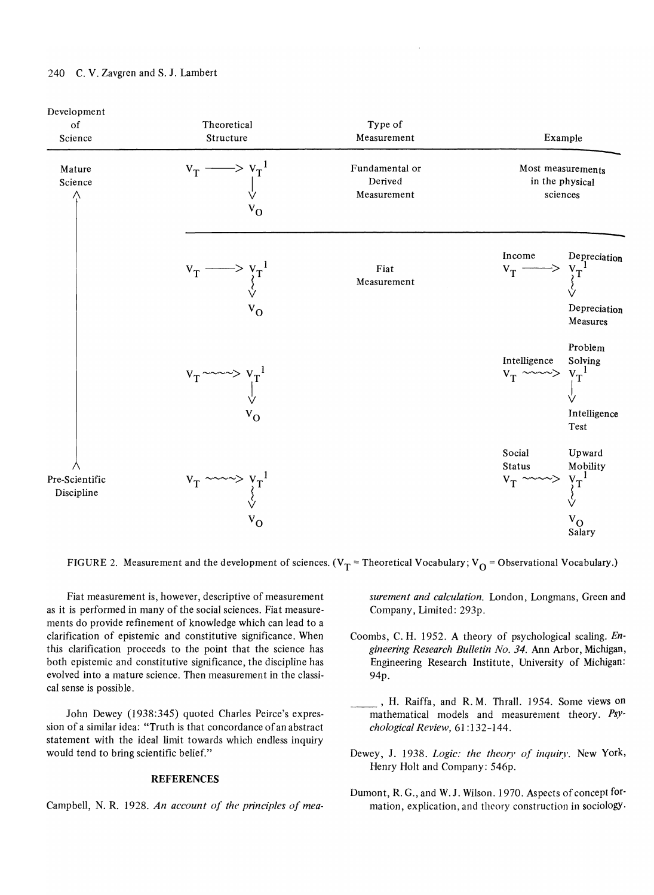

FIGURE 2. Measurement and the development of sciences. ( $V_T$  = Theoretical Vocabulary;  $V_O$  = Observational Vocabulary.)

Fiat measurement is, however, descriptive of measurement Fiat in easurement is, nowever, descriptive of measurement as it is performed in many of the social sciences. Fiat measurements do provide refinement of knowledge which can lead to a clarification of epistemic and constitutive significance. When this clarification proceeds to the point that the science has both epistemic and constitutive significance, the discipline has evolved into a mature science. Then measurement in the classical sense is possible.

 $J_{\rm D} = (1938.345)$  quoted Charles Peirce's expressed Charles Peirce's expressed Charles Peirce's expressed Charles Peirce's expression of the Charles Peirce's expression of the Charles Peirce's expression of the Charles  $\frac{1}{2}$ sion of a similar idea of an absolute of an absolute of an absolute of an absolute of an absolute of an absolute of an absolute of an absolute of an absolute of an absolute of an absolute of an absolute of an abs sion of a similar idea: "Truth is that concordance of an abstract statement with the ideal limit towards which endless inquiry would tend to bring scientific belief."

## REFERENCES

Campbell, N. R. 1928. *An account of the principles of mea-*

*surement and calculation.* London, Longmans, Green and rement and calculation. L

- Coombs, C. H. 1952. A theory of psychological scaling. *Engineering Research Bulletin Bulletin No. 34. Ann Arbor, Michigan, Michigan, Michigan, Michigan, Michigan, Michigan, Michigan, Michigan, Michigan, Michigan, Michigan, Michigan, Michigan, Michigan, Michigan, Michigan, Michi* gineering Research Bulletin No. 34. Ann Arbor, Michigan, Engineering Research Institute, University of Michigan:<br>94p.
- $\overline{H}$ , Raiffa, and R. M. M. M. M. Some views on  $\overline{H}$ mathematical models and measurement theory. **Property** and measurement theory. **Property** theory. **Property** theory. mathematical models and measurement theory. *Psy-chological Review*, 61:132-144.
- Dewey, J. 1938. *Logic: the theory of inquiry.* New York,  $\frac{1}{5}$ ,  $\frac{1}{5}$ ,  $\frac{1}{5}$ ,  $\frac{1}{5}$ ,  $\frac{1}{5}$ ,  $\frac{1}{5}$ ,  $\frac{1}{5}$
- $\mathbb{R}^n$   $\mathbb{R}^n$   $\mathbb{R}^n$   $\mathbb{R}^n$   $\mathbb{R}^n$   $\mathbb{R}^n$   $\mathbb{R}^n$   $\mathbb{R}^n$  $\mu$ ,  $\alpha$ ,  $\alpha$ , and  $\alpha$ ,  $\alpha$ ,  $\alpha$  mison,  $1970$ . Aspects of concept for